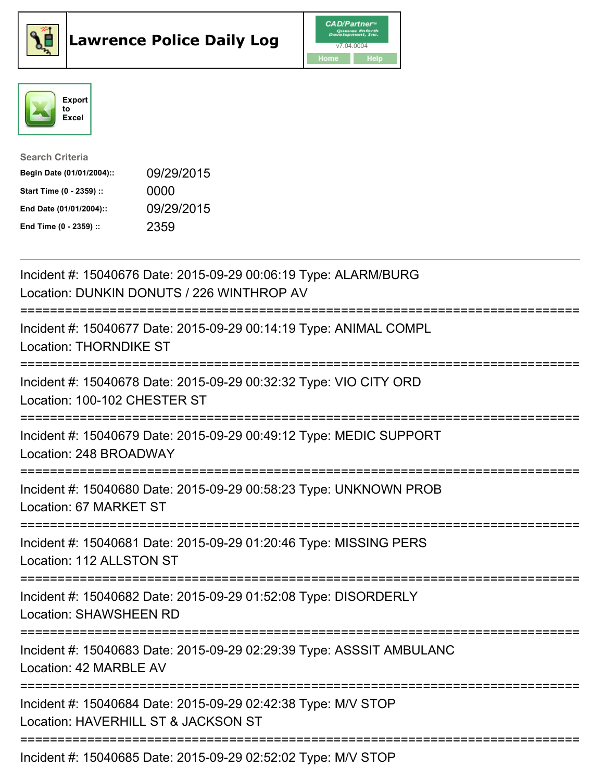





| <b>Search Criteria</b>    |            |
|---------------------------|------------|
| Begin Date (01/01/2004):: | 09/29/2015 |
| Start Time (0 - 2359) ::  | 0000       |
| End Date (01/01/2004)::   | 09/29/2015 |
| End Time (0 - 2359) ::    | 2359       |

| Incident #: 15040676 Date: 2015-09-29 00:06:19 Type: ALARM/BURG<br>Location: DUNKIN DONUTS / 226 WINTHROP AV                          |
|---------------------------------------------------------------------------------------------------------------------------------------|
| Incident #: 15040677 Date: 2015-09-29 00:14:19 Type: ANIMAL COMPL<br><b>Location: THORNDIKE ST</b>                                    |
| Incident #: 15040678 Date: 2015-09-29 00:32:32 Type: VIO CITY ORD<br>Location: 100-102 CHESTER ST                                     |
| Incident #: 15040679 Date: 2015-09-29 00:49:12 Type: MEDIC SUPPORT<br>Location: 248 BROADWAY                                          |
| Incident #: 15040680 Date: 2015-09-29 00:58:23 Type: UNKNOWN PROB<br>Location: 67 MARKET ST<br>====================================== |
| Incident #: 15040681 Date: 2015-09-29 01:20:46 Type: MISSING PERS<br>Location: 112 ALLSTON ST<br>-------------------------------      |
| Incident #: 15040682 Date: 2015-09-29 01:52:08 Type: DISORDERLY<br><b>Location: SHAWSHEEN RD</b><br>----------                        |
| Incident #: 15040683 Date: 2015-09-29 02:29:39 Type: ASSSIT AMBULANC<br>Location: 42 MARBLE AV                                        |
| Incident #: 15040684 Date: 2015-09-29 02:42:38 Type: M/V STOP<br>Location: HAVERHILL ST & JACKSON ST                                  |
| Incident #: 15040685 Date: 2015-09-29 02:52:02 Type: M/V STOP                                                                         |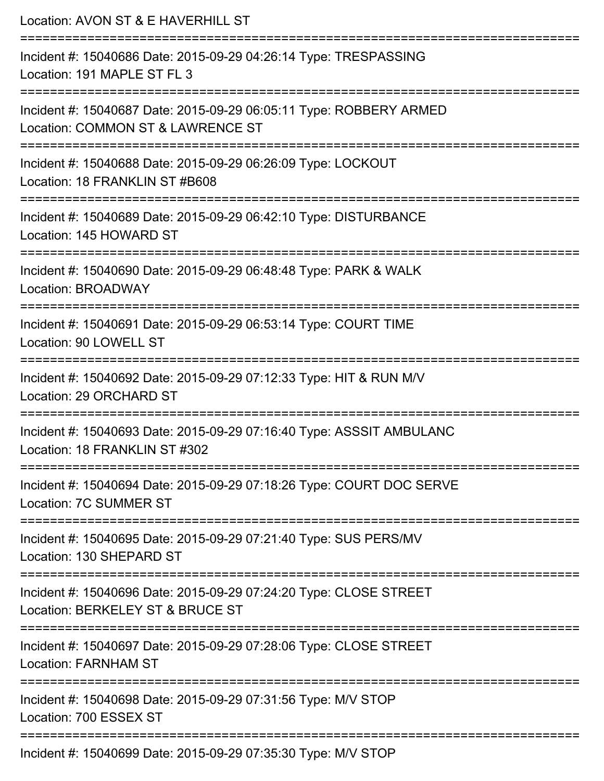| Location: AVON ST & E HAVERHILL ST                                                                                   |
|----------------------------------------------------------------------------------------------------------------------|
| Incident #: 15040686 Date: 2015-09-29 04:26:14 Type: TRESPASSING<br>Location: 191 MAPLE ST FL 3                      |
| Incident #: 15040687 Date: 2015-09-29 06:05:11 Type: ROBBERY ARMED<br>Location: COMMON ST & LAWRENCE ST              |
| Incident #: 15040688 Date: 2015-09-29 06:26:09 Type: LOCKOUT<br>Location: 18 FRANKLIN ST #B608                       |
| ;====================<br>Incident #: 15040689 Date: 2015-09-29 06:42:10 Type: DISTURBANCE<br>Location: 145 HOWARD ST |
| Incident #: 15040690 Date: 2015-09-29 06:48:48 Type: PARK & WALK<br><b>Location: BROADWAY</b>                        |
| Incident #: 15040691 Date: 2015-09-29 06:53:14 Type: COURT TIME<br>Location: 90 LOWELL ST                            |
| Incident #: 15040692 Date: 2015-09-29 07:12:33 Type: HIT & RUN M/V<br>Location: 29 ORCHARD ST                        |
| Incident #: 15040693 Date: 2015-09-29 07:16:40 Type: ASSSIT AMBULANC<br>Location: 18 FRANKLIN ST #302                |
| Incident #: 15040694 Date: 2015-09-29 07:18:26 Type: COURT DOC SERVE<br>Location: 7C SUMMER ST                       |
| Incident #: 15040695 Date: 2015-09-29 07:21:40 Type: SUS PERS/MV<br>Location: 130 SHEPARD ST                         |
| Incident #: 15040696 Date: 2015-09-29 07:24:20 Type: CLOSE STREET<br>Location: BERKELEY ST & BRUCE ST                |
| Incident #: 15040697 Date: 2015-09-29 07:28:06 Type: CLOSE STREET<br><b>Location: FARNHAM ST</b>                     |
| Incident #: 15040698 Date: 2015-09-29 07:31:56 Type: M/V STOP<br>Location: 700 ESSEX ST                              |
| Incident #: 15040699 Date: 2015-09-29 07:35:30 Type: M/V STOP                                                        |

Incident #: 15040699 Date: 2015-09-29 07:35:30 Type: M/V STOP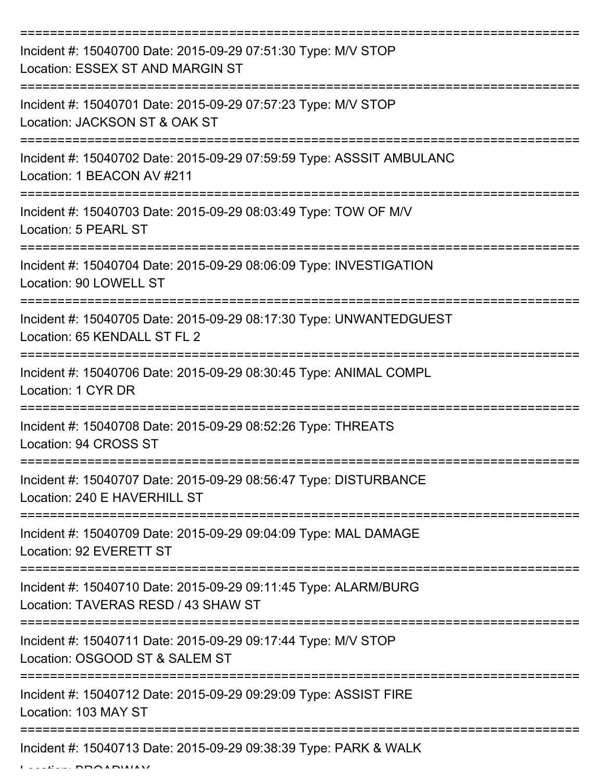| Incident #: 15040700 Date: 2015-09-29 07:51:30 Type: M/V STOP<br>Location: ESSEX ST AND MARGIN ST      |
|--------------------------------------------------------------------------------------------------------|
| Incident #: 15040701 Date: 2015-09-29 07:57:23 Type: M/V STOP<br>Location: JACKSON ST & OAK ST         |
| Incident #: 15040702 Date: 2015-09-29 07:59:59 Type: ASSSIT AMBULANC<br>Location: 1 BEACON AV #211     |
| Incident #: 15040703 Date: 2015-09-29 08:03:49 Type: TOW OF M/V<br>Location: 5 PEARL ST                |
| Incident #: 15040704 Date: 2015-09-29 08:06:09 Type: INVESTIGATION<br>Location: 90 LOWELL ST           |
| Incident #: 15040705 Date: 2015-09-29 08:17:30 Type: UNWANTEDGUEST<br>Location: 65 KENDALL ST FL 2     |
| Incident #: 15040706 Date: 2015-09-29 08:30:45 Type: ANIMAL COMPL<br>Location: 1 CYR DR                |
| Incident #: 15040708 Date: 2015-09-29 08:52:26 Type: THREATS<br>Location: 94 CROSS ST                  |
| Incident #: 15040707 Date: 2015-09-29 08:56:47 Type: DISTURBANCE<br>Location: 240 E HAVERHILL ST       |
| Incident #: 15040709 Date: 2015-09-29 09:04:09 Type: MAL DAMAGE<br>Location: 92 EVERETT ST             |
| Incident #: 15040710 Date: 2015-09-29 09:11:45 Type: ALARM/BURG<br>Location: TAVERAS RESD / 43 SHAW ST |
| Incident #: 15040711 Date: 2015-09-29 09:17:44 Type: M/V STOP<br>Location: OSGOOD ST & SALEM ST        |
| Incident #: 15040712 Date: 2015-09-29 09:29:09 Type: ASSIST FIRE<br>Location: 103 MAY ST               |
| Incident #: 15040713 Date: 2015-09-29 09:38:39 Type: PARK & WALK                                       |

 $L = LL = L$  BROADWAY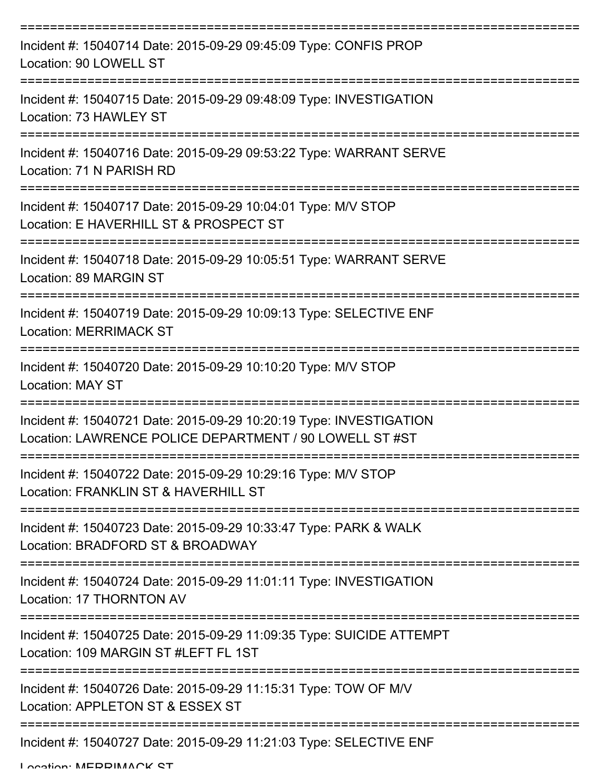| Incident #: 15040714 Date: 2015-09-29 09:45:09 Type: CONFIS PROP<br>Location: 90 LOWELL ST                                    |
|-------------------------------------------------------------------------------------------------------------------------------|
| Incident #: 15040715 Date: 2015-09-29 09:48:09 Type: INVESTIGATION<br>Location: 73 HAWLEY ST                                  |
| Incident #: 15040716 Date: 2015-09-29 09:53:22 Type: WARRANT SERVE<br>Location: 71 N PARISH RD                                |
| Incident #: 15040717 Date: 2015-09-29 10:04:01 Type: M/V STOP<br>Location: E HAVERHILL ST & PROSPECT ST                       |
| Incident #: 15040718 Date: 2015-09-29 10:05:51 Type: WARRANT SERVE<br>Location: 89 MARGIN ST                                  |
| Incident #: 15040719 Date: 2015-09-29 10:09:13 Type: SELECTIVE ENF<br><b>Location: MERRIMACK ST</b>                           |
| Incident #: 15040720 Date: 2015-09-29 10:10:20 Type: M/V STOP<br>Location: MAY ST                                             |
| Incident #: 15040721 Date: 2015-09-29 10:20:19 Type: INVESTIGATION<br>Location: LAWRENCE POLICE DEPARTMENT / 90 LOWELL ST #ST |
| Incident #: 15040722 Date: 2015-09-29 10:29:16 Type: M/V STOP<br>Location: FRANKLIN ST & HAVERHILL ST                         |
| Incident #: 15040723 Date: 2015-09-29 10:33:47 Type: PARK & WALK<br>Location: BRADFORD ST & BROADWAY                          |
| Incident #: 15040724 Date: 2015-09-29 11:01:11 Type: INVESTIGATION<br>Location: 17 THORNTON AV                                |
| Incident #: 15040725 Date: 2015-09-29 11:09:35 Type: SUICIDE ATTEMPT<br>Location: 109 MARGIN ST #LEFT FL 1ST                  |
| Incident #: 15040726 Date: 2015-09-29 11:15:31 Type: TOW OF M/V<br>Location: APPLETON ST & ESSEX ST                           |
| Incident #: 15040727 Date: 2015-09-29 11:21:03 Type: SELECTIVE ENF                                                            |

Location: MEDDIMACK CT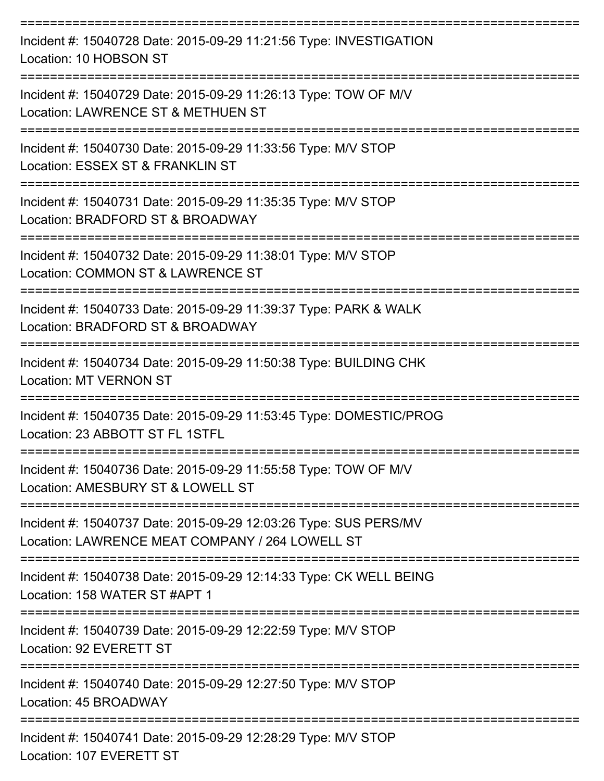| Incident #: 15040728 Date: 2015-09-29 11:21:56 Type: INVESTIGATION<br>Location: 10 HOBSON ST                        |
|---------------------------------------------------------------------------------------------------------------------|
| Incident #: 15040729 Date: 2015-09-29 11:26:13 Type: TOW OF M/V<br>Location: LAWRENCE ST & METHUEN ST               |
| Incident #: 15040730 Date: 2015-09-29 11:33:56 Type: M/V STOP<br>Location: ESSEX ST & FRANKLIN ST                   |
| Incident #: 15040731 Date: 2015-09-29 11:35:35 Type: M/V STOP<br>Location: BRADFORD ST & BROADWAY                   |
| Incident #: 15040732 Date: 2015-09-29 11:38:01 Type: M/V STOP<br>Location: COMMON ST & LAWRENCE ST                  |
| Incident #: 15040733 Date: 2015-09-29 11:39:37 Type: PARK & WALK<br>Location: BRADFORD ST & BROADWAY                |
| Incident #: 15040734 Date: 2015-09-29 11:50:38 Type: BUILDING CHK<br><b>Location: MT VERNON ST</b>                  |
| Incident #: 15040735 Date: 2015-09-29 11:53:45 Type: DOMESTIC/PROG<br>Location: 23 ABBOTT ST FL 1STFL               |
| Incident #: 15040736 Date: 2015-09-29 11:55:58 Type: TOW OF M/V<br>Location: AMESBURY ST & LOWELL ST                |
| Incident #: 15040737 Date: 2015-09-29 12:03:26 Type: SUS PERS/MV<br>Location: LAWRENCE MEAT COMPANY / 264 LOWELL ST |
| Incident #: 15040738 Date: 2015-09-29 12:14:33 Type: CK WELL BEING<br>Location: 158 WATER ST #APT 1                 |
| Incident #: 15040739 Date: 2015-09-29 12:22:59 Type: M/V STOP<br>Location: 92 EVERETT ST                            |
| Incident #: 15040740 Date: 2015-09-29 12:27:50 Type: M/V STOP<br>Location: 45 BROADWAY                              |
| Incident #: 15040741 Date: 2015-09-29 12:28:29 Type: M/V STOP<br>Location: 107 EVERETT ST                           |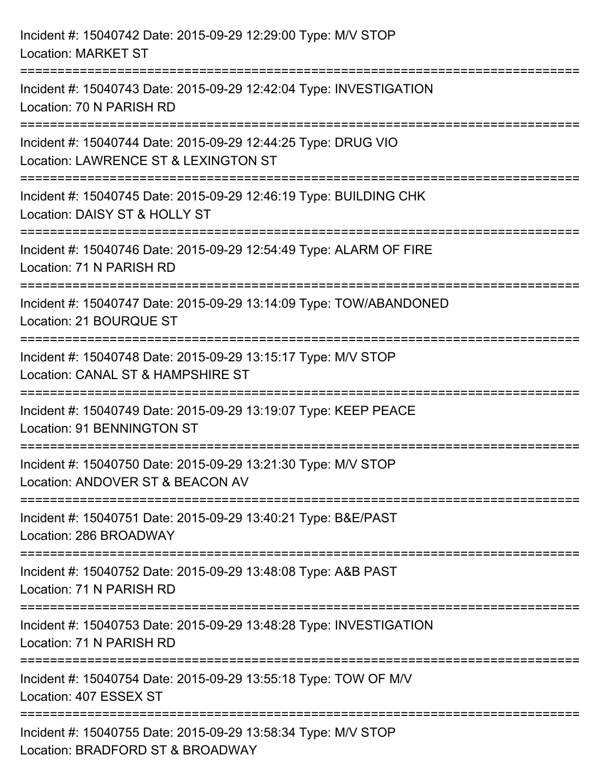| Incident #: 15040742 Date: 2015-09-29 12:29:00 Type: M/V STOP<br><b>Location: MARKET ST</b>           |
|-------------------------------------------------------------------------------------------------------|
| Incident #: 15040743 Date: 2015-09-29 12:42:04 Type: INVESTIGATION<br>Location: 70 N PARISH RD        |
| Incident #: 15040744 Date: 2015-09-29 12:44:25 Type: DRUG VIO<br>Location: LAWRENCE ST & LEXINGTON ST |
| Incident #: 15040745 Date: 2015-09-29 12:46:19 Type: BUILDING CHK<br>Location: DAISY ST & HOLLY ST    |
| Incident #: 15040746 Date: 2015-09-29 12:54:49 Type: ALARM OF FIRE<br>Location: 71 N PARISH RD        |
| Incident #: 15040747 Date: 2015-09-29 13:14:09 Type: TOW/ABANDONED<br>Location: 21 BOURQUE ST         |
| Incident #: 15040748 Date: 2015-09-29 13:15:17 Type: M/V STOP<br>Location: CANAL ST & HAMPSHIRE ST    |
| Incident #: 15040749 Date: 2015-09-29 13:19:07 Type: KEEP PEACE<br><b>Location: 91 BENNINGTON ST</b>  |
| Incident #: 15040750 Date: 2015-09-29 13:21:30 Type: M/V STOP<br>Location: ANDOVER ST & BEACON AV     |
| Incident #: 15040751 Date: 2015-09-29 13:40:21 Type: B&E/PAST<br>Location: 286 BROADWAY               |
| Incident #: 15040752 Date: 2015-09-29 13:48:08 Type: A&B PAST<br>Location: 71 N PARISH RD             |
| Incident #: 15040753 Date: 2015-09-29 13:48:28 Type: INVESTIGATION<br>Location: 71 N PARISH RD        |
| Incident #: 15040754 Date: 2015-09-29 13:55:18 Type: TOW OF M/V<br>Location: 407 ESSEX ST             |
| Incident #: 15040755 Date: 2015-09-29 13:58:34 Type: M/V STOP<br>Location: BRADFORD ST & BROADWAY     |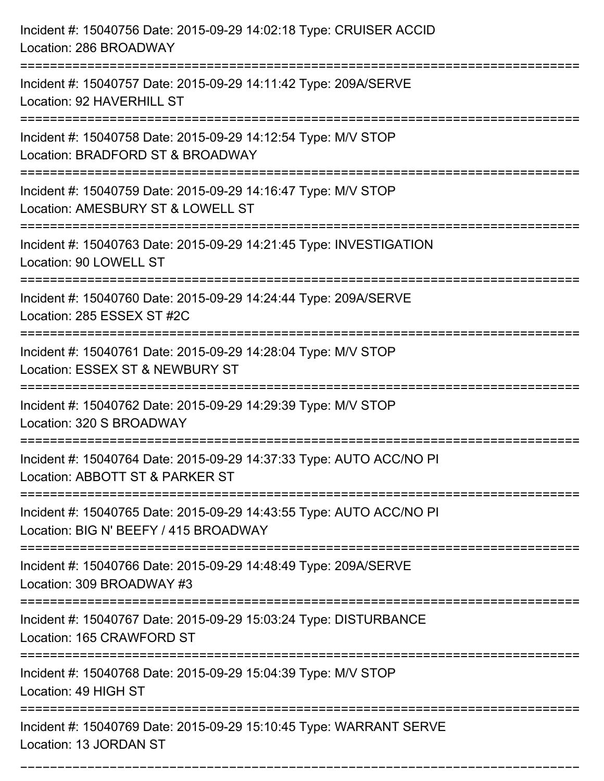| Incident #: 15040756 Date: 2015-09-29 14:02:18 Type: CRUISER ACCID<br>Location: 286 BROADWAY                                           |
|----------------------------------------------------------------------------------------------------------------------------------------|
| Incident #: 15040757 Date: 2015-09-29 14:11:42 Type: 209A/SERVE<br>Location: 92 HAVERHILL ST                                           |
| Incident #: 15040758 Date: 2015-09-29 14:12:54 Type: M/V STOP<br>Location: BRADFORD ST & BROADWAY                                      |
| Incident #: 15040759 Date: 2015-09-29 14:16:47 Type: M/V STOP<br>Location: AMESBURY ST & LOWELL ST                                     |
| Incident #: 15040763 Date: 2015-09-29 14:21:45 Type: INVESTIGATION<br>Location: 90 LOWELL ST                                           |
| Incident #: 15040760 Date: 2015-09-29 14:24:44 Type: 209A/SERVE<br>Location: 285 ESSEX ST #2C                                          |
| Incident #: 15040761 Date: 2015-09-29 14:28:04 Type: M/V STOP<br>Location: ESSEX ST & NEWBURY ST                                       |
| Incident #: 15040762 Date: 2015-09-29 14:29:39 Type: M/V STOP<br>Location: 320 S BROADWAY                                              |
| Incident #: 15040764 Date: 2015-09-29 14:37:33 Type: AUTO ACC/NO PI<br>Location: ABBOTT ST & PARKER ST                                 |
| Incident #: 15040765 Date: 2015-09-29 14:43:55 Type: AUTO ACC/NO PI<br>Location: BIG N' BEEFY / 415 BROADWAY<br>---------------------- |
| Incident #: 15040766 Date: 2015-09-29 14:48:49 Type: 209A/SERVE<br>Location: 309 BROADWAY #3                                           |
| Incident #: 15040767 Date: 2015-09-29 15:03:24 Type: DISTURBANCE<br>Location: 165 CRAWFORD ST                                          |
| ===========================<br>Incident #: 15040768 Date: 2015-09-29 15:04:39 Type: M/V STOP<br>Location: 49 HIGH ST                   |
| Incident #: 15040769 Date: 2015-09-29 15:10:45 Type: WARRANT SERVE<br>Location: 13 JORDAN ST                                           |

===========================================================================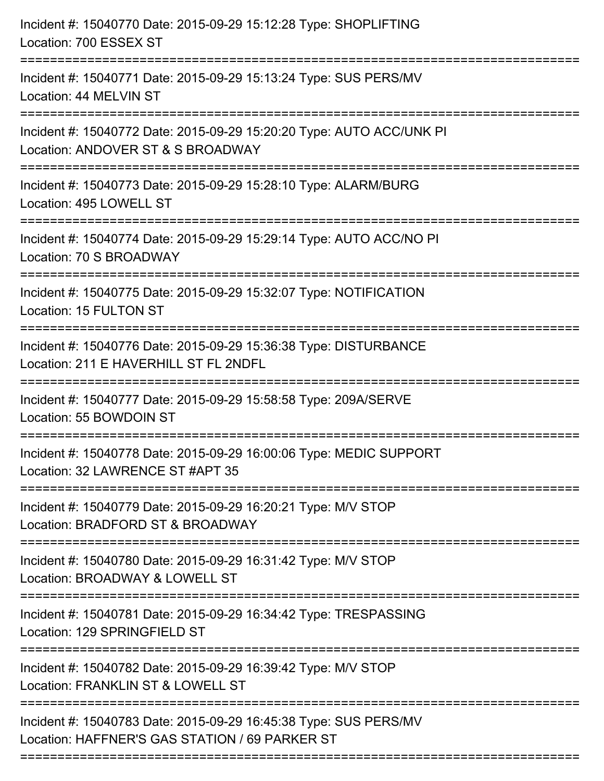| Incident #: 15040770 Date: 2015-09-29 15:12:28 Type: SHOPLIFTING<br>Location: 700 ESSEX ST                         |
|--------------------------------------------------------------------------------------------------------------------|
| Incident #: 15040771 Date: 2015-09-29 15:13:24 Type: SUS PERS/MV<br>Location: 44 MELVIN ST                         |
| Incident #: 15040772 Date: 2015-09-29 15:20:20 Type: AUTO ACC/UNK PI<br>Location: ANDOVER ST & S BROADWAY          |
| Incident #: 15040773 Date: 2015-09-29 15:28:10 Type: ALARM/BURG<br>Location: 495 LOWELL ST                         |
| Incident #: 15040774 Date: 2015-09-29 15:29:14 Type: AUTO ACC/NO PI<br>Location: 70 S BROADWAY                     |
| Incident #: 15040775 Date: 2015-09-29 15:32:07 Type: NOTIFICATION<br>Location: 15 FULTON ST                        |
| Incident #: 15040776 Date: 2015-09-29 15:36:38 Type: DISTURBANCE<br>Location: 211 E HAVERHILL ST FL 2NDFL          |
| Incident #: 15040777 Date: 2015-09-29 15:58:58 Type: 209A/SERVE<br>Location: 55 BOWDOIN ST                         |
| Incident #: 15040778 Date: 2015-09-29 16:00:06 Type: MEDIC SUPPORT<br>Location: 32 LAWRENCE ST #APT 35             |
| Incident #: 15040779 Date: 2015-09-29 16:20:21 Type: M/V STOP<br>Location: BRADFORD ST & BROADWAY                  |
| Incident #: 15040780 Date: 2015-09-29 16:31:42 Type: M/V STOP<br>Location: BROADWAY & LOWELL ST                    |
| Incident #: 15040781 Date: 2015-09-29 16:34:42 Type: TRESPASSING<br>Location: 129 SPRINGFIELD ST                   |
| Incident #: 15040782 Date: 2015-09-29 16:39:42 Type: M/V STOP<br>Location: FRANKLIN ST & LOWELL ST                 |
| Incident #: 15040783 Date: 2015-09-29 16:45:38 Type: SUS PERS/MV<br>Location: HAFFNER'S GAS STATION / 69 PARKER ST |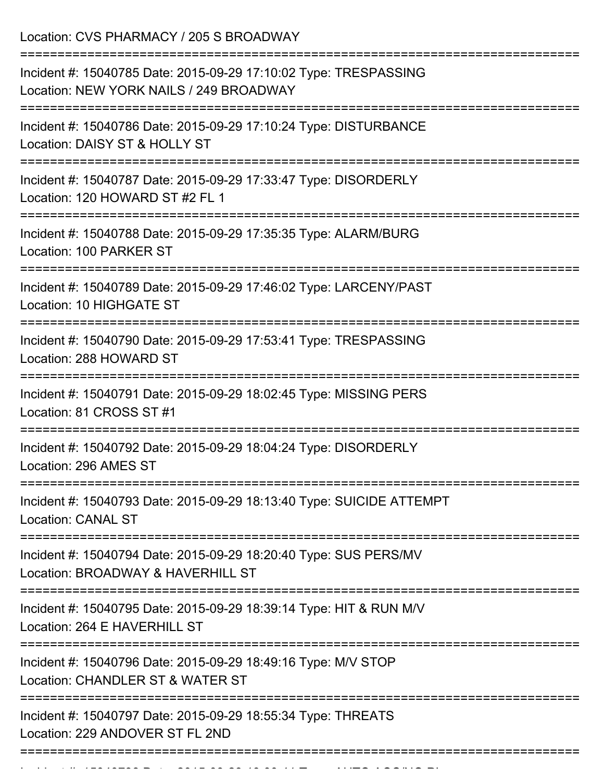Location: CVS PHARMACY / 205 S BROADWAY

| Incident #: 15040785 Date: 2015-09-29 17:10:02 Type: TRESPASSING<br>Location: NEW YORK NAILS / 249 BROADWAY                     |
|---------------------------------------------------------------------------------------------------------------------------------|
| Incident #: 15040786 Date: 2015-09-29 17:10:24 Type: DISTURBANCE<br>Location: DAISY ST & HOLLY ST                               |
| Incident #: 15040787 Date: 2015-09-29 17:33:47 Type: DISORDERLY<br>Location: 120 HOWARD ST #2 FL 1                              |
| Incident #: 15040788 Date: 2015-09-29 17:35:35 Type: ALARM/BURG<br>Location: 100 PARKER ST                                      |
| Incident #: 15040789 Date: 2015-09-29 17:46:02 Type: LARCENY/PAST<br>Location: 10 HIGHGATE ST                                   |
| :===============================<br>Incident #: 15040790 Date: 2015-09-29 17:53:41 Type: TRESPASSING<br>Location: 288 HOWARD ST |
| Incident #: 15040791 Date: 2015-09-29 18:02:45 Type: MISSING PERS<br>Location: 81 CROSS ST #1                                   |
| Incident #: 15040792 Date: 2015-09-29 18:04:24 Type: DISORDERLY<br>Location: 296 AMES ST                                        |
| Incident #: 15040793 Date: 2015-09-29 18:13:40 Type: SUICIDE ATTEMPT<br><b>Location: CANAL ST</b>                               |
| :===================<br>Incident #: 15040794 Date: 2015-09-29 18:20:40 Type: SUS PERS/MV<br>Location: BROADWAY & HAVERHILL ST   |
| Incident #: 15040795 Date: 2015-09-29 18:39:14 Type: HIT & RUN M/V<br>Location: 264 E HAVERHILL ST                              |
| Incident #: 15040796 Date: 2015-09-29 18:49:16 Type: M/V STOP<br>Location: CHANDLER ST & WATER ST                               |
| Incident #: 15040797 Date: 2015-09-29 18:55:34 Type: THREATS<br>Location: 229 ANDOVER ST FL 2ND                                 |
|                                                                                                                                 |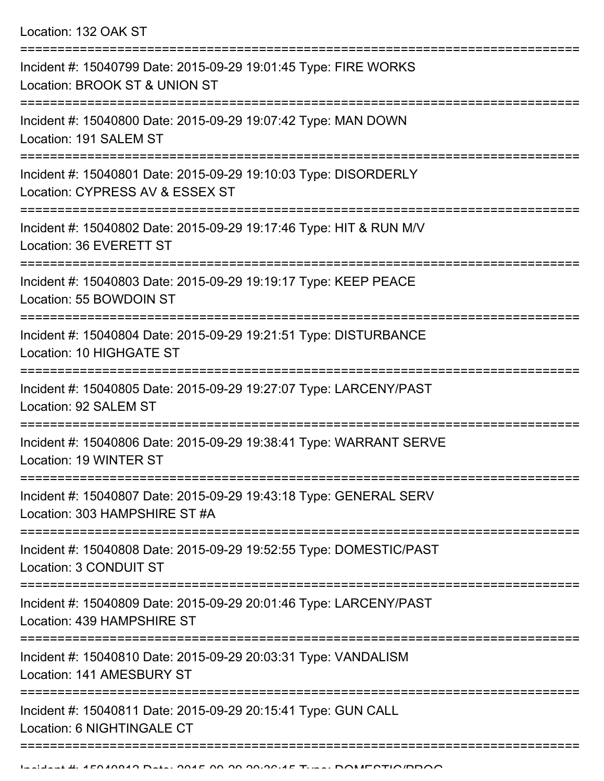Location: 132 OAK ST

| Incident #: 15040799 Date: 2015-09-29 19:01:45 Type: FIRE WORKS<br>Location: BROOK ST & UNION ST   |
|----------------------------------------------------------------------------------------------------|
| Incident #: 15040800 Date: 2015-09-29 19:07:42 Type: MAN DOWN<br>Location: 191 SALEM ST            |
| Incident #: 15040801 Date: 2015-09-29 19:10:03 Type: DISORDERLY<br>Location: CYPRESS AV & ESSEX ST |
| Incident #: 15040802 Date: 2015-09-29 19:17:46 Type: HIT & RUN M/V<br>Location: 36 EVERETT ST      |
| Incident #: 15040803 Date: 2015-09-29 19:19:17 Type: KEEP PEACE<br>Location: 55 BOWDOIN ST         |
| Incident #: 15040804 Date: 2015-09-29 19:21:51 Type: DISTURBANCE<br>Location: 10 HIGHGATE ST       |
| Incident #: 15040805 Date: 2015-09-29 19:27:07 Type: LARCENY/PAST<br>Location: 92 SALEM ST         |
| Incident #: 15040806 Date: 2015-09-29 19:38:41 Type: WARRANT SERVE<br>Location: 19 WINTER ST       |
| Incident #: 15040807 Date: 2015-09-29 19:43:18 Type: GENERAL SERV<br>Location: 303 HAMPSHIRE ST #A |
| Incident #: 15040808 Date: 2015-09-29 19:52:55 Type: DOMESTIC/PAST<br>Location: 3 CONDUIT ST       |
| Incident #: 15040809 Date: 2015-09-29 20:01:46 Type: LARCENY/PAST<br>Location: 439 HAMPSHIRE ST    |
| Incident #: 15040810 Date: 2015-09-29 20:03:31 Type: VANDALISM<br>Location: 141 AMESBURY ST        |
| Incident #: 15040811 Date: 2015-09-29 20:15:41 Type: GUN CALL<br>Location: 6 NIGHTINGALE CT        |
|                                                                                                    |